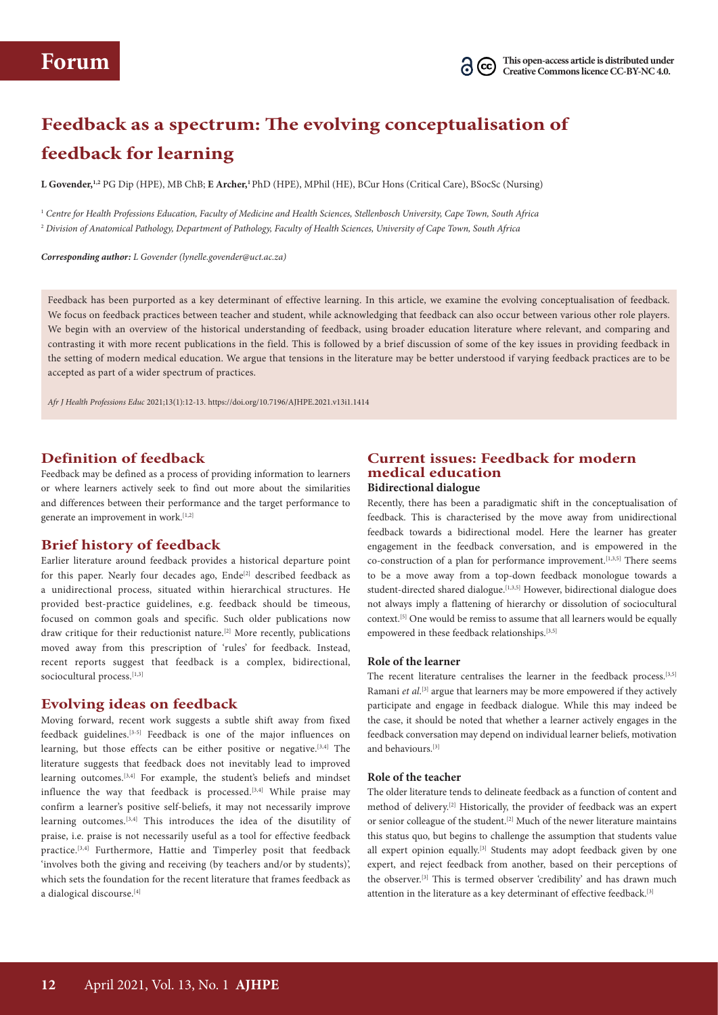# **Feedback as a spectrum: The evolving conceptualisation of feedback for learning**

**L Govender,1,2** PG Dip (HPE), MB ChB; **E Archer,1**PhD (HPE), MPhil (HE), BCur Hons (Critical Care), BSocSc (Nursing)

<sup>1</sup> *Centre for Health Professions Education, Faculty of Medicine and Health Sciences, Stellenbosch University, Cape Town, South Africa* <sup>2</sup> *Division of Anatomical Pathology, Department of Pathology, Faculty of Health Sciences, University of Cape Town, South Africa*

*Corresponding author: L Govender (lynelle.govender@uct.ac.za)*

Feedback has been purported as a key determinant of effective learning. In this article, we examine the evolving conceptualisation of feedback. We focus on feedback practices between teacher and student, while acknowledging that feedback can also occur between various other role players. We begin with an overview of the historical understanding of feedback, using broader education literature where relevant, and comparing and contrasting it with more recent publications in the field. This is followed by a brief discussion of some of the key issues in providing feedback in the setting of modern medical education. We argue that tensions in the literature may be better understood if varying feedback practices are to be accepted as part of a wider spectrum of practices.

*Afr J Health Professions Educ* 2021;13(1):12-13. https://doi.org/10.7196/AJHPE.2021.v13i1.1414

## **Definition of feedback**

Feedback may be defined as a process of providing information to learners or where learners actively seek to find out more about the similarities and differences between their performance and the target performance to generate an improvement in work.<sup>[1,2]</sup>

## **Brief history of feedback**

Earlier literature around feedback provides a historical departure point for this paper. Nearly four decades ago, Ende<sup>[2]</sup> described feedback as a unidirectional process, situated within hierarchical structures. He provided best-practice guidelines, e.g. feedback should be timeous, focused on common goals and specific. Such older publications now draw critique for their reductionist nature.<sup>[2]</sup> More recently, publications moved away from this prescription of 'rules' for feedback. Instead, recent reports suggest that feedback is a complex, bidirectional, sociocultural process.[1,3]

## **Evolving ideas on feedback**

Moving forward, recent work suggests a subtle shift away from fixed feedback guidelines.[3-5] Feedback is one of the major influences on learning, but those effects can be either positive or negative.<sup>[3,4]</sup> The literature suggests that feedback does not inevitably lead to improved learning outcomes.[3,4] For example, the student's beliefs and mindset influence the way that feedback is processed.<sup>[3,4]</sup> While praise may confirm a learner's positive self-beliefs, it may not necessarily improve learning outcomes.[3,4] This introduces the idea of the disutility of praise, i.e. praise is not necessarily useful as a tool for effective feedback practice.[3,4] Furthermore, Hattie and Timperley posit that feedback 'involves both the giving and receiving (by teachers and/or by students)', which sets the foundation for the recent literature that frames feedback as a dialogical discourse.<sup>[4]</sup>

## **Current issues: Feedback for modern medical education**

#### **Bidirectional dialogue**

Recently, there has been a paradigmatic shift in the conceptualisation of feedback. This is characterised by the move away from unidirectional feedback towards a bidirectional model. Here the learner has greater engagement in the feedback conversation, and is empowered in the co-construction of a plan for performance improvement.<sup>[1,3,5]</sup> There seems to be a move away from a top-down feedback monologue towards a student-directed shared dialogue.[1,3,5] However, bidirectional dialogue does not always imply a flattening of hierarchy or dissolution of sociocultural context.[5] One would be remiss to assume that all learners would be equally empowered in these feedback relationships.<sup>[3,5]</sup>

#### **Role of the learner**

The recent literature centralises the learner in the feedback process.<sup>[3,5]</sup> Ramani *et al.*<sup>[3]</sup> argue that learners may be more empowered if they actively participate and engage in feedback dialogue. While this may indeed be the case, it should be noted that whether a learner actively engages in the feedback conversation may depend on individual learner beliefs, motivation and behaviours.[3]

#### **Role of the teacher**

The older literature tends to delineate feedback as a function of content and method of delivery.<sup>[2]</sup> Historically, the provider of feedback was an expert or senior colleague of the student.<sup>[2]</sup> Much of the newer literature maintains this status quo, but begins to challenge the assumption that students value all expert opinion equally.<sup>[3]</sup> Students may adopt feedback given by one expert, and reject feedback from another, based on their perceptions of the observer.[3] This is termed observer 'credibility' and has drawn much attention in the literature as a key determinant of effective feedback.[3]